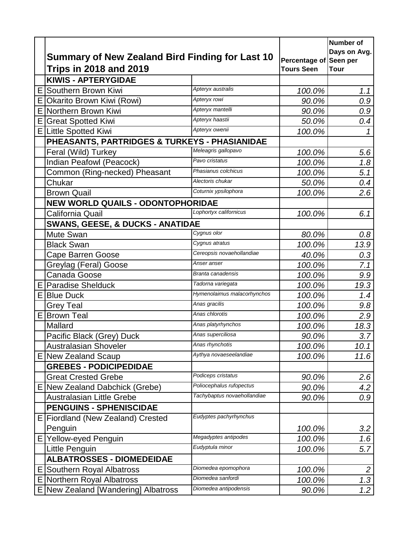|    |                                                                                         |                             |                                             | <b>Number of</b><br>Days on Avg. |
|----|-----------------------------------------------------------------------------------------|-----------------------------|---------------------------------------------|----------------------------------|
|    | <b>Summary of New Zealand Bird Finding for Last 10</b><br><b>Trips in 2018 and 2019</b> |                             | Percentage of Seen per<br><b>Tours Seen</b> | <b>Tour</b>                      |
|    | <b>KIWIS - APTERYGIDAE</b>                                                              |                             |                                             |                                  |
| Е  | Southern Brown Kiwi                                                                     | Apteryx australis           | 100.0%                                      | 1.1                              |
| E  | Okarito Brown Kiwi (Rowi)                                                               | Apteryx rowi                | 90.0%                                       | 0.9                              |
| Е  | Northern Brown Kiwi                                                                     | Apteryx mantelli            | 90.0%                                       | 0.9                              |
| E  | <b>Great Spotted Kiwi</b>                                                               | Apteryx haastii             | 50.0%                                       | 0.4                              |
| E  | <b>Little Spotted Kiwi</b>                                                              | Apteryx owenii              | 100.0%                                      | 1                                |
|    | PHEASANTS, PARTRIDGES & TURKEYS - PHASIANIDAE                                           |                             |                                             |                                  |
|    | Feral (Wild) Turkey                                                                     | Meleagris gallopavo         | 100.0%                                      | 5.6                              |
|    | Indian Peafowl (Peacock)                                                                | Pavo cristatus              | 100.0%                                      | 1.8                              |
|    | Common (Ring-necked) Pheasant                                                           | Phasianus colchicus         | 100.0%                                      | 5.1                              |
|    | Chukar                                                                                  | Alectoris chukar            | 50.0%                                       | 0.4                              |
|    | <b>Brown Quail</b>                                                                      | Coturnix ypsilophora        | 100.0%                                      | 2.6                              |
|    | NEW WORLD QUAILS - ODONTOPHORIDAE                                                       |                             |                                             |                                  |
|    | California Quail                                                                        | Lophortyx californicus      | 100.0%                                      | 6.1                              |
|    | <b>SWANS, GEESE, &amp; DUCKS - ANATIDAE</b>                                             |                             |                                             |                                  |
|    | Mute Swan                                                                               | Cygnus olor                 | 80.0%                                       | 0.8                              |
|    | <b>Black Swan</b>                                                                       | Cygnus atratus              | 100.0%                                      | 13.9                             |
|    | <b>Cape Barren Goose</b>                                                                | Cereopsis novaehollandiae   | 40.0%                                       | 0.3                              |
|    | Greylag (Feral) Goose                                                                   | Anser anser                 | 100.0%                                      | 7.1                              |
|    | Canada Goose                                                                            | Branta canadensis           | 100.0%                                      | 9.9                              |
|    | <b>E</b> Paradise Shelduck                                                              | Tadorna variegata           | 100.0%                                      | 19.3                             |
| EI | <b>Blue Duck</b>                                                                        | Hymenolaimus malacorhynchos | 100.0%                                      | 1.4                              |
|    | <b>Grey Teal</b>                                                                        | Anas gracilis               | 100.0%                                      | 9.8                              |
| ΕI | <b>Brown Teal</b>                                                                       | Anas chlorotis              | 100.0%                                      | 2.9                              |
|    | Mallard                                                                                 | Anas platyrhynchos          | 100.0%                                      | 18.3                             |
|    | Pacific Black (Grey) Duck                                                               | Anas superciliosa           | 90.0%                                       | 3.7                              |
|    | <b>Australasian Shoveler</b>                                                            | Anas rhynchotis             | 100.0%                                      | 10.1                             |
|    | E New Zealand Scaup                                                                     | Aythya novaeseelandiae      | 100.0%                                      | 11.6                             |
|    | <b>GREBES - PODICIPEDIDAE</b>                                                           |                             |                                             |                                  |
|    | <b>Great Crested Grebe</b>                                                              | Podiceps cristatus          | 90.0%                                       | 2.6                              |
|    | E New Zealand Dabchick (Grebe)                                                          | Poliocephalus rufopectus    | 90.0%                                       | 4.2                              |
|    | <b>Australasian Little Grebe</b>                                                        | Tachybaptus novaehollandiae | 90.0%                                       | 0.9                              |
|    | <b>PENGUINS - SPHENISCIDAE</b>                                                          |                             |                                             |                                  |
|    | E Fiordland (New Zealand) Crested                                                       | Eudyptes pachyrhynchus      |                                             |                                  |
|    | Penguin                                                                                 |                             | 100.0%                                      | 3.2                              |
|    | E Yellow-eyed Penguin                                                                   | Megadyptes antipodes        | 100.0%                                      | 1.6                              |
|    | Little Penguin                                                                          | Eudyptula minor             | 100.0%                                      | 5.7                              |
|    | <b>ALBATROSSES - DIOMEDEIDAE</b>                                                        |                             |                                             |                                  |
|    | E Southern Royal Albatross                                                              | Diomedea epomophora         | 100.0%                                      | $\overline{2}$                   |
|    | E Northern Royal Albatross                                                              | Diomedea sanfordi           | 100.0%                                      | 1.3                              |
|    | E   New Zealand [Wandering] Albatross                                                   | Diomedea antipodensis       | 90.0%                                       | 1.2                              |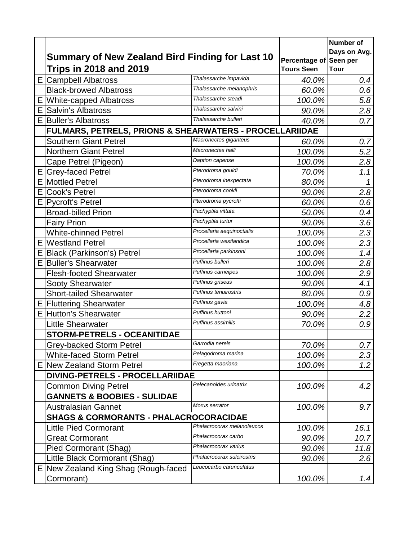|   |                                                         |                            |                                             | Number of    |
|---|---------------------------------------------------------|----------------------------|---------------------------------------------|--------------|
|   | Summary of New Zealand Bird Finding for Last 10         |                            |                                             | Days on Avg. |
|   | <b>Trips in 2018 and 2019</b>                           |                            | Percentage of Seen per<br><b>Tours Seen</b> | <b>Tour</b>  |
| E | Campbell Albatross                                      | Thalassarche impavida      | 40.0%                                       | 0.4          |
|   | <b>Black-browed Albatross</b>                           | Thalassarche melanophris   | 60.0%                                       | 0.6          |
| E | <b>White-capped Albatross</b>                           | Thalassarche steadi        | 100.0%                                      | 5.8          |
| Е | <b>Salvin's Albatross</b>                               | Thalassarche salvini       | 90.0%                                       | 2.8          |
|   | <b>E Buller's Albatross</b>                             | Thalassarche bulleri       | 40.0%                                       | 0.7          |
|   | FULMARS, PETRELS, PRIONS & SHEARWATERS - PROCELLARIIDAE |                            |                                             |              |
|   | <b>Southern Giant Petrel</b>                            | Macronectes giganteus      | 60.0%                                       | 0.7          |
|   | <b>Northern Giant Petrel</b>                            | Macronectes halli          | 100.0%                                      | 5.2          |
|   | Cape Petrel (Pigeon)                                    | Daption capense            | 100.0%                                      | 2.8          |
| E | <b>Grey-faced Petrel</b>                                | Pterodroma gouldi          | 70.0%                                       | 1.1          |
| E | <b>Mottled Petrel</b>                                   | Pterodroma inexpectata     | 80.0%                                       | $\mathcal I$ |
| Е | <b>Cook's Petrel</b>                                    | Pterodroma cookii          | 90.0%                                       | 2.8          |
| Е | <b>Pycroft's Petrel</b>                                 | Pterodroma pycrofti        | 60.0%                                       | 0.6          |
|   | <b>Broad-billed Prion</b>                               | Pachyptila vittata         | 50.0%                                       | 0.4          |
|   | <b>Fairy Prion</b>                                      | Pachyptila turtur          | 90.0%                                       | 3.6          |
|   | <b>White-chinned Petrel</b>                             | Procellaria aequinoctialis | 100.0%                                      | 2.3          |
| E | <b>Westland Petrel</b>                                  | Procellaria westlandica    | 100.0%                                      | 2.3          |
| Ε | <b>Black (Parkinson's) Petrel</b>                       | Procellaria parkinsoni     | 100.0%                                      | 1.4          |
| Е | <b>Buller's Shearwater</b>                              | Puffinus bulleri           | 100.0%                                      | 2.8          |
|   | <b>Flesh-footed Shearwater</b>                          | Puffinus carneipes         | 100.0%                                      | 2.9          |
|   | <b>Sooty Shearwater</b>                                 | Puffinus griseus           | 90.0%                                       | 4.1          |
|   | <b>Short-tailed Shearwater</b>                          | Puffinus tenuirostris      | 80.0%                                       | 0.9          |
| Ε | <b>Fluttering Shearwater</b>                            | Puffinus gavia             | 100.0%                                      | 4.8          |
|   | <b>E</b> Hutton's Shearwater                            | Puffinus huttoni           | 90.0%                                       | 2.2          |
|   | <b>Little Shearwater</b>                                | Puffinus assimilis         | 70.0%                                       | 0.9          |
|   | <b>STORM-PETRELS - OCEANITIDAE</b>                      |                            |                                             |              |
|   | Grey-backed Storm Petrel                                | Garrodia nereis            | 70.0%                                       | 0.7          |
|   | <b>White-faced Storm Petrel</b>                         | Pelagodroma marina         | 100.0%                                      | 2.3          |
| Е | New Zealand Storm Petrel                                | Fregetta maoriana          | 100.0%                                      | 1.2          |
|   | DIVING-PETRELS - PROCELLARIIDAE                         |                            |                                             |              |
|   | <b>Common Diving Petrel</b>                             | Pelecanoides urinatrix     | 100.0%                                      | 4.2          |
|   | <b>GANNETS &amp; BOOBIES - SULIDAE</b>                  |                            |                                             |              |
|   | <b>Australasian Gannet</b>                              | Morus serrator             | 100.0%                                      | 9.7          |
|   | <b>SHAGS &amp; CORMORANTS - PHALACROCORACIDAE</b>       |                            |                                             |              |
|   | <b>Little Pied Cormorant</b>                            | Phalacrocorax melanoleucos | 100.0%                                      | 16.1         |
|   | Great Cormorant                                         | Phalacrocorax carbo        | 90.0%                                       | 10.7         |
|   | <b>Pied Cormorant (Shag)</b>                            | Phalacrocorax varius       | 90.0%                                       | 11.8         |
|   | Little Black Cormorant (Shag)                           | Phalacrocorax sulcirostris | 90.0%                                       | 2.6          |
|   | E New Zealand King Shag (Rough-faced                    | Leucocarbo carunculatus    |                                             |              |
|   | Cormorant)                                              |                            | 100.0%                                      | 1.4          |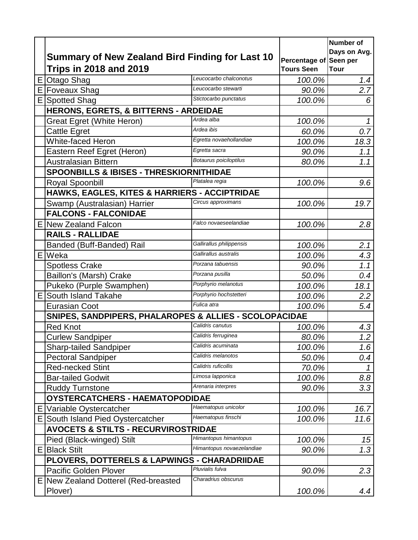|    |                                                        |                           |                        | Number of        |
|----|--------------------------------------------------------|---------------------------|------------------------|------------------|
|    | <b>Summary of New Zealand Bird Finding for Last 10</b> |                           | Percentage of Seen per | Days on Avg.     |
|    | <b>Trips in 2018 and 2019</b>                          |                           | <b>Tours Seen</b>      | <b>Tour</b>      |
| E  | <b>Otago Shag</b>                                      | Leucocarbo chalconotus    | 100.0%                 | 1.4              |
| E  | <b>Foveaux Shag</b>                                    | Leucocarbo stewarti       | 90.0%                  | 2.7              |
| Е  | <b>Spotted Shag</b>                                    | Stictocarbo punctatus     | 100.0%                 | 6                |
|    | HERONS, EGRETS, & BITTERNS - ARDEIDAE                  |                           |                        |                  |
|    | <b>Great Egret (White Heron)</b>                       | Ardea alba                | 100.0%                 | $\mathcal I$     |
|    | <b>Cattle Egret</b>                                    | Ardea ibis                | 60.0%                  | $\overline{0.7}$ |
|    | <b>White-faced Heron</b>                               | Egretta novaehollandiae   | 100.0%                 | 18.3             |
|    | Eastern Reef Egret (Heron)                             | Egretta sacra             | 90.0%                  | 1.1              |
|    | <b>Australasian Bittern</b>                            | Botaurus poiciloptilus    | 80.0%                  | 1.1              |
|    | SPOONBILLS & IBISES - THRESKIORNITHIDAE                |                           |                        |                  |
|    | Royal Spoonbill                                        | Platalea regia            | 100.0%                 | 9.6              |
|    | HAWKS, EAGLES, KITES & HARRIERS - ACCIPTRIDAE          |                           |                        |                  |
|    | Swamp (Australasian) Harrier                           | Circus approximans        | 100.0%                 | 19.7             |
|    | <b>FALCONS - FALCONIDAE</b>                            |                           |                        |                  |
| ΕI | <b>New Zealand Falcon</b>                              | Falco novaeseelandiae     | 100.0%                 | 2.8              |
|    | <b>RAILS - RALLIDAE</b>                                |                           |                        |                  |
|    | Banded (Buff-Banded) Rail                              | Gallirallus philippensis  | 100.0%                 | 2.1              |
|    | E Weka                                                 | Gallirallus australis     | 100.0%                 | 4.3              |
|    | <b>Spotless Crake</b>                                  | Porzana tabuensis         | 90.0%                  | 1.1              |
|    | Baillon's (Marsh) Crake                                | Porzana pusilla           | 50.0%                  | 0.4              |
|    | Pukeko (Purple Swamphen)                               | Porphyrio melanotus       | 100.0%                 | 18.1             |
| ΕI | <b>South Island Takahe</b>                             | Porphyrio hochstetteri    | 100.0%                 | 2.2              |
|    | <b>Eurasian Coot</b>                                   | Fulica atra               | 100.0%                 | 5.4              |
|    | SNIPES, SANDPIPERS, PHALAROPES & ALLIES - SCOLOPACIDAE |                           |                        |                  |
|    | <b>Red Knot</b>                                        | Calidris canutus          | 100.0%                 | 4.3              |
|    | <b>Curlew Sandpiper</b>                                | Calidris ferruginea       | 80.0%                  | 1.2              |
|    | <b>Sharp-tailed Sandpiper</b>                          | Calidris acuminata        | 100.0%                 | 1.6              |
|    | <b>Pectoral Sandpiper</b>                              | Calidris melanotos        | 50.0%                  | 0.4              |
|    | <b>Red-necked Stint</b>                                | Calidris ruficollis       | 70.0%                  |                  |
|    | <b>Bar-tailed Godwit</b>                               | Limosa lapponica          | 100.0%                 | 8.8              |
|    | <b>Ruddy Turnstone</b>                                 | Arenaria interpres        | 90.0%                  | 3.3              |
|    | OYSTERCATCHERS - HAEMATOPODIDAE                        |                           |                        |                  |
| Ε  | Variable Oystercatcher                                 | Haematopus unicolor       | 100.0%                 | 16.7             |
| Е  | South Island Pied Oystercatcher                        | Haematopus finschi        | 100.0%                 | 11.6             |
|    | <b>AVOCETS &amp; STILTS - RECURVIROSTRIDAE</b>         |                           |                        |                  |
|    | Pied (Black-winged) Stilt                              | Himantopus himantopus     | 100.0%                 | 15               |
| E. | <b>Black Stilt</b>                                     | Himantopus novaezelandiae | 90.0%                  | 1.3              |
|    | PLOVERS, DOTTERELS & LAPWINGS - CHARADRIIDAE           |                           |                        |                  |
|    | <b>Pacific Golden Plover</b>                           | Pluvialis fulva           | 90.0%                  | 2.3              |
|    | E   New Zealand Dotterel (Red-breasted                 | Charadrius obscurus       |                        |                  |
|    | Plover)                                                |                           | 100.0%                 | 4.4              |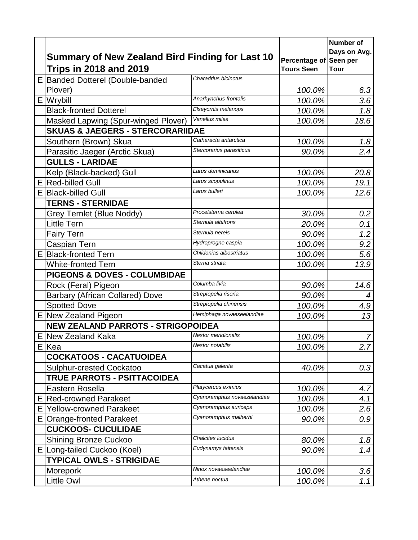|    |                                                                                         |                             |                                             | <b>Number of</b><br>Days on Avg. |
|----|-----------------------------------------------------------------------------------------|-----------------------------|---------------------------------------------|----------------------------------|
|    | <b>Summary of New Zealand Bird Finding for Last 10</b><br><b>Trips in 2018 and 2019</b> |                             | Percentage of Seen per<br><b>Tours Seen</b> | <b>Tour</b>                      |
| E. | <b>Banded Dotterel (Double-banded</b>                                                   | Charadrius bicinctus        |                                             |                                  |
|    | Plover)                                                                                 |                             | 100.0%                                      | 6.3                              |
|    | E Wrybill                                                                               | Anarhynchus frontalis       | 100.0%                                      | 3.6                              |
|    | <b>Black-fronted Dotterel</b>                                                           | Elseyornis melanops         | 100.0%                                      | 1.8                              |
|    | Masked Lapwing (Spur-winged Plover)                                                     | Vanellus miles              | 100.0%                                      | 18.6                             |
|    | <b>SKUAS &amp; JAEGERS - STERCORARIIDAE</b>                                             |                             |                                             |                                  |
|    | Southern (Brown) Skua                                                                   | Catharacta antarctica       | 100.0%                                      | 1.8                              |
|    | Parasitic Jaeger (Arctic Skua)                                                          | Stercorarius parasiticus    | 90.0%                                       | 2.4                              |
|    | <b>GULLS - LARIDAE</b>                                                                  |                             |                                             |                                  |
|    | Kelp (Black-backed) Gull                                                                | Larus dominicanus           | 100.0%                                      | 20.8                             |
|    | E Red-billed Gull                                                                       | Larus scopulinus            | 100.0%                                      | 19.1                             |
| ΕI | <b>Black-billed Gull</b>                                                                | Larus bulleri               | 100.0%                                      | 12.6                             |
|    | <b>TERNS - STERNIDAE</b>                                                                |                             |                                             |                                  |
|    | Grey Ternlet (Blue Noddy)                                                               | Procelsterna cerulea        | 30.0%                                       | 0.2                              |
|    | <b>Little Tern</b>                                                                      | Sternula albifrons          | 20.0%                                       | 0.1                              |
|    | <b>Fairy Tern</b>                                                                       | Sternula nereis             | 90.0%                                       | 1.2                              |
|    | Caspian Tern                                                                            | Hydroprogne caspia          | 100.0%                                      | 9.2                              |
| EI | <b>Black-fronted Tern</b>                                                               | Chlidonias albostriatus     | 100.0%                                      | 5.6                              |
|    | <b>White-fronted Tern</b>                                                               | Sterna striata              | 100.0%                                      | 13.9                             |
|    | <b>PIGEONS &amp; DOVES - COLUMBIDAE</b>                                                 |                             |                                             |                                  |
|    | Rock (Feral) Pigeon                                                                     | Columba livia               | 90.0%                                       | 14.6                             |
|    | <b>Barbary (African Collared) Dove</b>                                                  | Streptopelia risoria        | 90.0%                                       | 4                                |
|    | <b>Spotted Dove</b>                                                                     | Streptopelia chinensis      | 100.0%                                      | 4.9                              |
|    | E New Zealand Pigeon                                                                    | Hemiphaga novaeseelandiae   | 100.0%                                      | 13                               |
|    | <b>NEW ZEALAND PARROTS - STRIGOPOIDEA</b>                                               |                             |                                             |                                  |
|    | <b>E</b> New Zealand Kaka                                                               | <b>Nestor meridionalis</b>  | 100.0%                                      | $\overline{7}$                   |
|    | E Kea                                                                                   | Nestor notabilis            | 100.0%                                      | 2.7                              |
|    | <b>COCKATOOS - CACATUOIDEA</b>                                                          |                             |                                             |                                  |
|    | <b>Sulphur-crested Cockatoo</b>                                                         | Cacatua galerita            | 40.0%                                       | 0.3                              |
|    | <b>TRUE PARROTS - PSITTACOIDEA</b>                                                      |                             |                                             |                                  |
|    | Eastern Rosella                                                                         | Platycercus eximius         | 100.0%                                      | 4.7                              |
|    | <b>Red-crowned Parakeet</b>                                                             | Cyanoramphus novaezelandiae | 100.0%                                      | 4.1                              |
| Е  | <b>Yellow-crowned Parakeet</b>                                                          | Cyanoramphus auriceps       | 100.0%                                      | 2.6                              |
| E. | <b>Orange-fronted Parakeet</b>                                                          | Cyanoramphus malherbi       | 90.0%                                       | 0.9                              |
|    | <b>CUCKOOS- CUCULIDAE</b>                                                               |                             |                                             |                                  |
|    | <b>Shining Bronze Cuckoo</b>                                                            | Chalcites lucidus           | 80.0%                                       | 1.8                              |
| E  | Long-tailed Cuckoo (Koel)                                                               | Eudynamys taitensis         | 90.0%                                       | 1.4                              |
|    | <b>TYPICAL OWLS - STRIGIDAE</b>                                                         |                             |                                             |                                  |
|    | Morepork                                                                                | Ninox novaeseelandiae       | 100.0%                                      | 3.6                              |
|    | <b>Little Owl</b>                                                                       | Athene noctua               | 100.0%                                      | 1.1                              |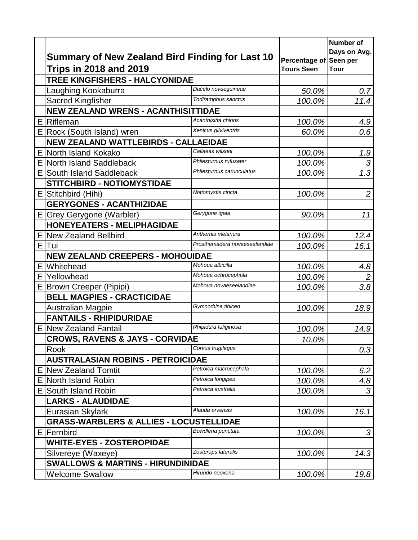|    |                                                    |                               |                        | Number of        |
|----|----------------------------------------------------|-------------------------------|------------------------|------------------|
|    | Summary of New Zealand Bird Finding for Last 10    |                               | Percentage of Seen per | Days on Avg.     |
|    | <b>Trips in 2018 and 2019</b>                      | <b>Tours Seen</b>             | <b>Tour</b>            |                  |
|    | TREE KINGFISHERS - HALCYONIDAE                     |                               |                        |                  |
|    | Laughing Kookaburra                                | Dacelo novaeguineae           | 50.0%                  | 0.7              |
|    | Sacred Kingfisher                                  | Todiramphus sanctus           | 100.0%                 | 11.4             |
|    | NEW ZEALAND WRENS - ACANTHISITTIDAE                |                               |                        |                  |
|    | <b>E</b> Rifleman                                  | Acanthisitta chloris          | 100.0%                 | 4.9              |
| ΕI | Rock (South Island) wren                           | Xenicus gilviventris          | 60.0%                  | 0.6              |
|    | NEW ZEALAND WATTLEBIRDS - CALLAEIDAE               |                               |                        |                  |
| E. | North Island Kokako                                | Callaeas wilsoni              | 100.0%                 | 1.9              |
|    | <b>E North Island Saddleback</b>                   | Philesturnus rufusater        | 100.0%                 | 3                |
| E. | South Island Saddleback                            | Philesturnus carunculatus     | 100.0%                 | $\overline{1.3}$ |
|    | <b>STITCHBIRD - NOTIOMYSTIDAE</b>                  |                               |                        |                  |
|    | E Stitchbird (Hihi)                                | Notiomystis cincta            | 100.0%                 | $\overline{2}$   |
|    | <b>GERYGONES - ACANTHIZIDAE</b>                    |                               |                        |                  |
| E. | Grey Gerygone (Warbler)                            | Gerygone igata                | 90.0%                  | 11               |
|    | <b>HONEYEATERS - MELIPHAGIDAE</b>                  |                               |                        |                  |
|    | E New Zealand Bellbird                             | Anthornis melanura            | 100.0%                 | 12.4             |
| E. | Tui                                                | Prosthemadera novaeseelandiae | 100.0%                 | 16.1             |
|    | <b>NEW ZEALAND CREEPERS - MOHOUIDAE</b>            |                               |                        |                  |
| Ε  | Whitehead                                          | Mohoua albicilla              | 100.0%                 | 4.8              |
|    | E Yellowhead                                       | Mohoua ochrocephala           | 100.0%                 | $\overline{2}$   |
| E. | <b>Brown Creeper (Pipipi)</b>                      | Mohoua novaeseelandiae        | 100.0%                 | 3.8              |
|    | <b>BELL MAGPIES - CRACTICIDAE</b>                  |                               |                        |                  |
|    | <b>Australian Magpie</b>                           | Gymnorhina tibicen            | 100.0%                 | 18.9             |
|    | <b>FANTAILS - RHIPIDURIDAE</b>                     |                               |                        |                  |
|    | E New Zealand Fantail                              | Rhipidura fuliginosa          | 100.0%                 | 14.9             |
|    | <b>CROWS, RAVENS &amp; JAYS - CORVIDAE</b>         |                               | 10.0%                  |                  |
|    | Rook                                               | Corvus frugilegus             |                        | 0.3              |
|    | <b>AUSTRALASIAN ROBINS - PETROICIDAE</b>           |                               |                        |                  |
|    | E New Zealand Tomtit                               | Petroica macrocephala         | 100.0%                 | 6.2              |
| Ε  | North Island Robin                                 | Petroica longipes             | 100.0%                 | 4.8              |
| E  | South Island Robin                                 | Petroica australis            | 100.0%                 | 3                |
|    | <b>LARKS - ALAUDIDAE</b>                           |                               |                        |                  |
|    | Eurasian Skylark                                   | Alauda arvensis               | 100.0%                 | 16.1             |
|    | <b>GRASS-WARBLERS &amp; ALLIES - LOCUSTELLIDAE</b> |                               |                        |                  |
|    | E   Fernbird                                       | Bowdleria punctata            | 100.0%                 | 3                |
|    | <b>WHITE-EYES - ZOSTEROPIDAE</b>                   |                               |                        |                  |
|    | Silvereye (Waxeye)                                 | Zosterops lateralis           | 100.0%                 | 14.3             |
|    | <b>SWALLOWS &amp; MARTINS - HIRUNDINIDAE</b>       |                               |                        |                  |
|    | <b>Welcome Swallow</b>                             | Hirundo neoxena               | 100.0%                 | 19.8             |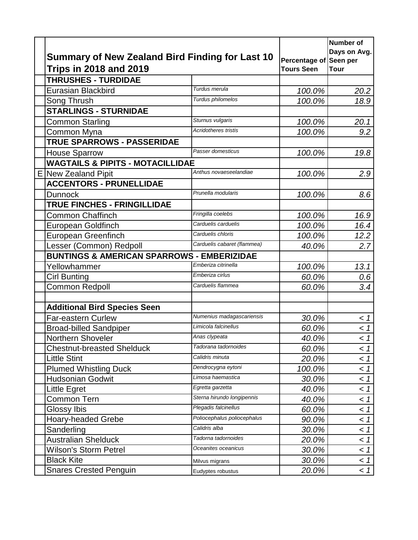| Summary of New Zealand Bird Finding for Last 10       |                             | Percentage of Seen per | <b>Number of</b><br>Days on Avg. |
|-------------------------------------------------------|-----------------------------|------------------------|----------------------------------|
| <b>Trips in 2018 and 2019</b>                         |                             | <b>Tours Seen</b>      | <b>Tour</b>                      |
| <b>THRUSHES - TURDIDAE</b>                            |                             |                        |                                  |
| <b>Eurasian Blackbird</b>                             | Turdus merula               | 100.0%                 | 20.2                             |
| Song Thrush                                           | Turdus philomelos           | 100.0%                 | 18.9                             |
| <b>STARLINGS - STURNIDAE</b>                          |                             |                        |                                  |
| <b>Common Starling</b>                                | Sturnus vulgaris            | 100.0%                 | 20.1                             |
| Common Myna                                           | <b>Acridotheres tristis</b> | 100.0%                 | 9.2                              |
| <b>TRUE SPARROWS - PASSERIDAE</b>                     |                             |                        |                                  |
| <b>House Sparrow</b>                                  | Passer domesticus           | 100.0%                 | 19.8                             |
| <b>WAGTAILS &amp; PIPITS - MOTACILLIDAE</b>           |                             |                        |                                  |
| E New Zealand Pipit                                   | Anthus novaeseelandiae      | 100.0%                 | 2.9                              |
| <b>ACCENTORS - PRUNELLIDAE</b>                        |                             |                        |                                  |
| <b>Dunnock</b>                                        | Prunella modularis          | 100.0%                 | 8.6                              |
| <b>TRUE FINCHES - FRINGILLIDAE</b>                    |                             |                        |                                  |
| <b>Common Chaffinch</b>                               | Fringilla coelebs           | 100.0%                 | 16.9                             |
| European Goldfinch                                    | Carduelis carduelis         | 100.0%                 | 16.4                             |
| <b>European Greenfinch</b>                            | Carduelis chloris           | 100.0%                 | 12.2                             |
| Lesser (Common) Redpoll                               | Carduelis cabaret (flammea) | 40.0%                  | 2.7                              |
| <b>BUNTINGS &amp; AMERICAN SPARROWS - EMBERIZIDAE</b> |                             |                        |                                  |
| Yellowhammer                                          | Emberiza citrinella         | 100.0%                 | 13.1                             |
| <b>Cirl Bunting</b>                                   | Emberiza cirlus             | 60.0%                  | 0.6                              |
| <b>Common Redpoll</b>                                 | Carduelis flammea           | 60.0%                  | 3.4                              |
|                                                       |                             |                        |                                  |
| <b>Additional Bird Species Seen</b>                   |                             |                        |                                  |
| <b>Far-eastern Curlew</b>                             | Numenius madagascariensis   | 30.0%                  | < 1                              |
| <b>Broad-billed Sandpiper</b>                         | Limicola falcinellus        | 60.0%                  | < 1                              |
| <b>Northern Shoveler</b>                              | Anas clypeata               | 40.0%                  | < 1                              |
| <b>Chestnut-breasted Shelduck</b>                     | Tadorana tadornoides        | 60.0%                  | < 1                              |
| <b>Little Stint</b>                                   | Calidris minuta             | 20.0%                  | < 1                              |
| <b>Plumed Whistling Duck</b>                          | Dendrocygna eytoni          | 100.0%                 | < 1                              |
| <b>Hudsonian Godwit</b>                               | Limosa haemastica           | 30.0%                  | < 1                              |
| Little Egret                                          | Egretta garzetta            | 40.0%                  | < 1                              |
| <b>Common Tern</b>                                    | Sterna hirundo longipennis  | 40.0%                  | < 1                              |
| Glossy Ibis                                           | Plegadis falcinellus        | 60.0%                  | < 1                              |
| <b>Hoary-headed Grebe</b>                             | Poliocephalus poliocephalus | 90.0%                  | < 1                              |
| Sanderling                                            | Calidris alba               | 30.0%                  | < 1                              |
| <b>Australian Shelduck</b>                            | Tadorna tadornoides         | 20.0%                  | < 1                              |
| Wilson's Storm Petrel                                 | Oceanites oceanicus         | 30.0%                  | < 1                              |
| <b>Black Kite</b>                                     | Milvus migrans              | 30.0%                  | < 1                              |
| <b>Snares Crested Penguin</b>                         | Eudyptes robustus           | 20.0%                  | < 1                              |